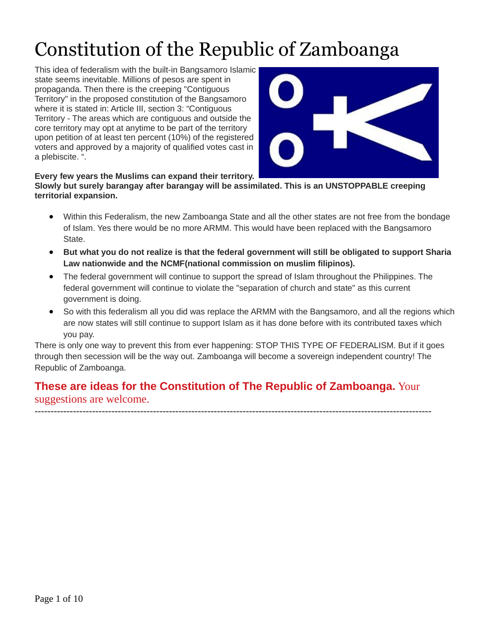# Constitution of the Republic of Zamboanga

This idea of federalism with the built-in Bangsamoro Islamic state seems inevitable. Millions of pesos are spent in propaganda. Then there is the creeping "Contiguous Territory" in the proposed constitution of the Bangsamoro where it is stated in: Article III, section 3: "Contiguous Territory - The areas which are contiguous and outside the core territory may opt at anytime to be part of the territory upon petition of at least ten percent (10%) of the registered voters and approved by a majority of qualified votes cast in a plebiscite. ".



#### **Every few years the Muslims can expand their territory.**

**Slowly but surely barangay after barangay will be assimilated. This is an UNSTOPPABLE creeping territorial expansion.**

- Within this Federalism, the new Zamboanga State and all the other states are not free from the bondage of Islam. Yes there would be no more ARMM. This would have been replaced with the Bangsamoro State.
- But what you do not realize is that the federal government will still be obligated to support Sharia **Law nationwide and the NCMF(national commission on muslim filipinos).**
- The federal government will continue to support the spread of Islam throughout the Philippines. The federal government will continue to violate the "separation of church and state" as this current government is doing.
- So with this federalism all you did was replace the ARMM with the Bangsamoro, and all the regions which are now states will still continue to support Islam as it has done before with its contributed taxes which you pay.

There is only one way to prevent this from ever happening: STOP THIS TYPE OF FEDERALISM. But if it goes through then secession will be the way out. Zamboanga will become a sovereign independent country! The Republic of Zamboanga.

#### **These are ideas for the Constitution of The Republic of Zamboanga.** Your suggestions are welcome.

----------------------------------------------------------------------------------------------------------------------------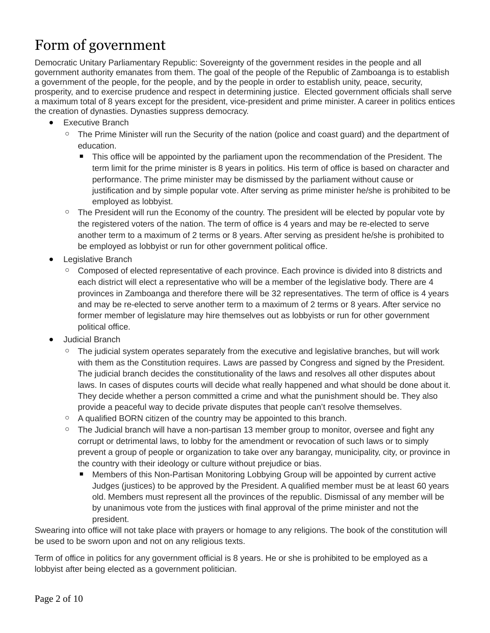#### Form of government

Democratic Unitary Parliamentary Republic: Sovereignty of the government resides in the people and all government authority emanates from them. The goal of the people of the Republic of Zamboanga is to establish a government of the people, for the people, and by the people in order to establish unity, peace, security, prosperity, and to exercise prudence and respect in determining justice. Elected government officials shall serve a maximum total of 8 years except for the president, vice-president and prime minister. A career in politics entices the creation of dynasties. Dynasties suppress democracy.

- Executive Branch
	- The Prime Minister will run the Security of the nation (police and coast guard) and the department of education.
		- This office will be appointed by the parliament upon the recommendation of the President. The term limit for the prime minister is 8 years in politics. His term of office is based on character and performance. The prime minister may be dismissed by the parliament without cause or justification and by simple popular vote. After serving as prime minister he/she is prohibited to be employed as lobbyist.
	- The President will run the Economy of the country. The president will be elected by popular vote by the registered voters of the nation. The term of office is 4 years and may be re-elected to serve another term to a maximum of 2 terms or 8 years. After serving as president he/she is prohibited to be employed as lobbyist or run for other government political office.
- Legislative Branch
	- Composed of elected representative of each province. Each province is divided into 8 districts and each district will elect a representative who will be a member of the legislative body. There are 4 provinces in Zamboanga and therefore there will be 32 representatives. The term of office is 4 years and may be re-elected to serve another term to a maximum of 2 terms or 8 years. After service no former member of legislature may hire themselves out as lobbyists or run for other government political office.
- Judicial Branch
	- The judicial system operates separately from the executive and legislative branches, but will work with them as the Constitution requires. Laws are passed by Congress and signed by the President. The judicial branch decides the constitutionality of the laws and resolves all other disputes about laws. In cases of disputes courts will decide what really happened and what should be done about it. They decide whether a person committed a crime and what the punishment should be. They also provide a peaceful way to decide private disputes that people can't resolve themselves.
	- A qualified BORN citizen of the country may be appointed to this branch.
	- The Judicial branch will have a non-partisan 13 member group to monitor, oversee and fight any corrupt or detrimental laws, to lobby for the amendment or revocation of such laws or to simply prevent a group of people or organization to take over any barangay, municipality, city, or province in the country with their ideology or culture without prejudice or bias.
		- Members of this Non-Partisan Monitoring Lobbying Group will be appointed by current active Judges (justices) to be approved by the President. A qualified member must be at least 60 years old. Members must represent all the provinces of the republic. Dismissal of any member will be by unanimous vote from the justices with final approval of the prime minister and not the president.

Swearing into office will not take place with prayers or homage to any religions. The book of the constitution will be used to be sworn upon and not on any religious texts.

Term of office in politics for any government official is 8 years. He or she is prohibited to be employed as a lobbyist after being elected as a government politician.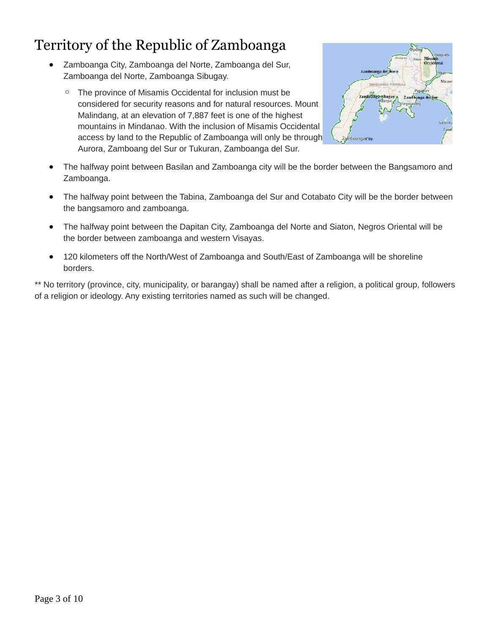#### Territory of the Republic of Zamboanga

- Zamboanga City, Zamboanga del Norte, Zamboanga del Sur, Zamboanga del Norte, Zamboanga Sibugay.
	- The province of Misamis Occidental for inclusion must be considered for security reasons and for natural resources. Mount Malindang, at an elevation of 7,887 feet is one of the highest mountains in Mindanao. With the inclusion of Misamis Occidental access by land to the Republic of Zamboanga will only be through Aurora, Zamboang del Sur or Tukuran, Zamboanga del Sur.



- The halfway point between Basilan and Zamboanga city will be the border between the Bangsamoro and Zamboanga.
- The halfway point between the Tabina, Zamboanga del Sur and Cotabato City will be the border between the bangsamoro and zamboanga.
- The halfway point between the Dapitan City, Zamboanga del Norte and Siaton, Negros Oriental will be the border between zamboanga and western Visayas.
- 120 kilometers off the North/West of Zamboanga and South/East of Zamboanga will be shoreline borders.

\*\* No territory (province, city, municipality, or barangay) shall be named after a religion, a political group, followers of a religion or ideology. Any existing territories named as such will be changed.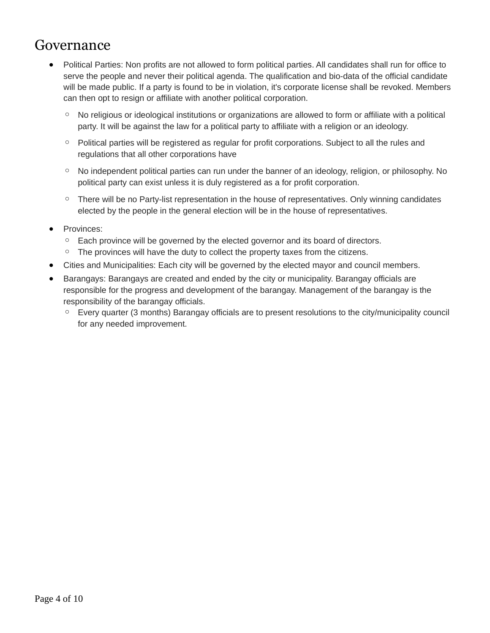#### Governance

- Political Parties: Non profits are not allowed to form political parties. All candidates shall run for office to serve the people and never their political agenda. The qualification and bio-data of the official candidate will be made public. If a party is found to be in violation, it's corporate license shall be revoked. Members can then opt to resign or affiliate with another political corporation.
	- No religious orideological institutions or organizations are allowed to form or affiliate with a political party. It will be against the law for a political party to affiliate with a religion or an ideology.
	- Political parties will be registered as regular for profit corporations. Subject to all the rules and regulations that all other corporations have
	- No independent political parties can run under the banner of an ideology, religion, or philosophy. No political party can exist unless it is duly registered as a for profit corporation.
	- $\degree$  There will be no Party-list representation in the house of representatives. Only winning candidates elected by the people in the general election will be in the house of representatives.
- Provinces:
	- Each province will be governed by the elected governor and its board of directors.
	- The provinces will have the duty to collect the property taxes from the citizens.
- Cities and Municipalities: Each city will be governed by the elected mayor and council members.
- Barangays: Barangays are created and ended by the city or municipality. Barangay officials are responsible for the progress and development of the barangay. Management of the barangay is the responsibility of the barangay officials.
	- Every quarter (3 months) Barangay officials are to present resolutions to the city/municipality council for any needed improvement.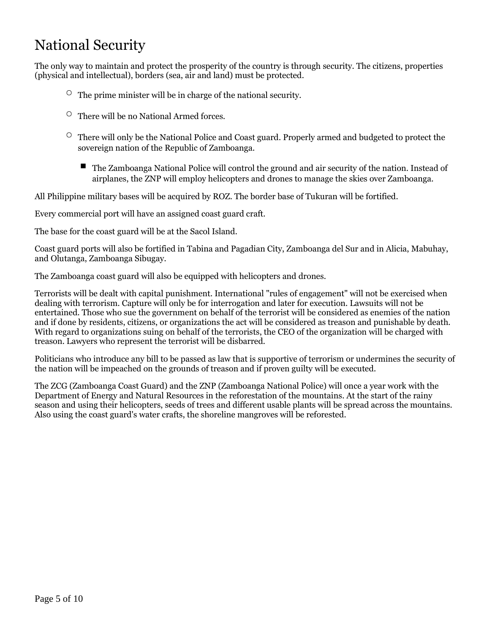#### National Security

The only way to maintain and protect the prosperity of the country is through security. The citizens, properties (physical and intellectual), borders (sea, air and land) must be protected.

- $\circ$  The prime minister will be in charge of the national security.
- $\circ$  There will be no National Armed forces.
- There will only be the National Police and Coast guard. Properly armed and budgeted to protect the sovereign nation of the Republic of Zamboanga.
	- The Zamboanga National Police will control the ground and air security of the nation. Instead of airplanes, the ZNP will employ helicopters and drones to manage the skies over Zamboanga.

All Philippine military bases will be acquired by ROZ. The border base of Tukuran will be fortified.

Every commercial port will have an assigned coast guard craft.

The base for the coast guard will be at the Sacol Island.

Coast guard ports will also be fortified in Tabina and Pagadian City, Zamboanga del Sur and in Alicia, Mabuhay, and Olutanga, Zamboanga Sibugay.

The Zamboanga coast guard will also be equipped with helicopters and drones.

Terrorists will be dealt with capital punishment. International "rules of engagement" will not be exercised when dealing with terrorism. Capture will only be for interrogation and later for execution. Lawsuits will not be entertained. Those who sue the government on behalf of the terrorist will be considered as enemies of the nation and if done by residents, citizens, or organizations the act will be considered as treason and punishable by death. With regard to organizations suing on behalf of the terrorists, the CEO of the organization will be charged with treason. Lawyers who represent the terrorist will be disbarred.

Politicians who introduce any bill to be passed as law that is supportive of terrorism or undermines the security of the nation will be impeached on the grounds of treason and if proven guilty will be executed.

The ZCG (Zamboanga Coast Guard) and the ZNP (Zamboanga National Police) will once a year work with the Department of Energy and Natural Resources in the reforestation of the mountains. At the start of the rainy season and using their helicopters, seeds of trees and different usable plants will be spread across the mountains. Also using the coast guard's water crafts, the shoreline mangroves will be reforested.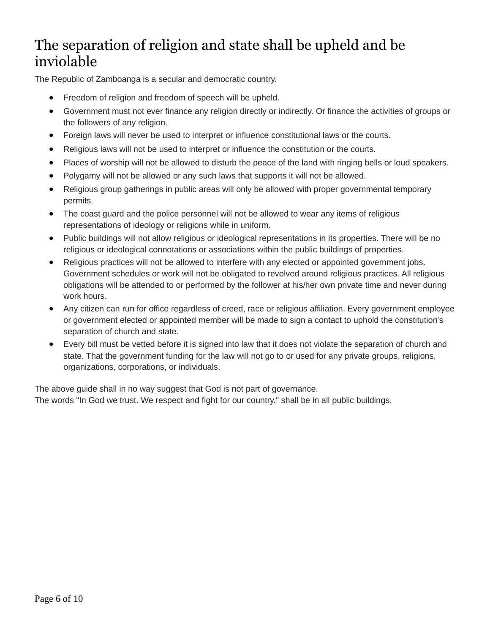#### The separation of religion and state shall be upheld and be inviolable

The Republic of Zamboanga is a secular and democratic country.

- Freedom of religion and freedom of speech will be upheld.
- Government must not ever finance any religion directly or indirectly. Or finance the activities of groups or the followers of any religion.
- Foreign laws will never be used to interpret or influence constitutional laws or the courts.
- Religious laws will not be used to interpret or influence the constitution or the courts.
- Places of worship will not be allowed to disturb the peace of the land with ringing bells or loud speakers.
- Polygamy will not be allowed or any such laws that supports it will not be allowed.
- Religious group gatherings in public areas will only be allowed with proper governmental temporary permits.
- The coast guard and the police personnel will not be allowed to wear any items of religious representations of ideology or religions while in uniform.
- Public buildings will not allow religious or ideological representations in its properties. There will be no religious or ideological connotations or associations within the public buildings of properties.
- Religious practices will not be allowed to interfere with any elected or appointed government jobs. Government schedules or work will not be obligated to revolved around religious practices. All religious obligations will be attended to or performed by the follower at his/her own private time and never during work hours.
- Any citizen can run for office regardless of creed, race or religious affiliation. Every government employee or government elected or appointed member will be made to sign a contact to uphold the constitution's separation of church and state.
- Every bill must be vetted before it is signed into law that it does not violate the separation of church and state. That the government funding for the law will not go to or used for any private groups, religions, organizations, corporations, or individuals.

The above quide shall in no way suggest that God is not part of governance. The words "In God we trust. We respect and fight for our country." shall be in all public buildings.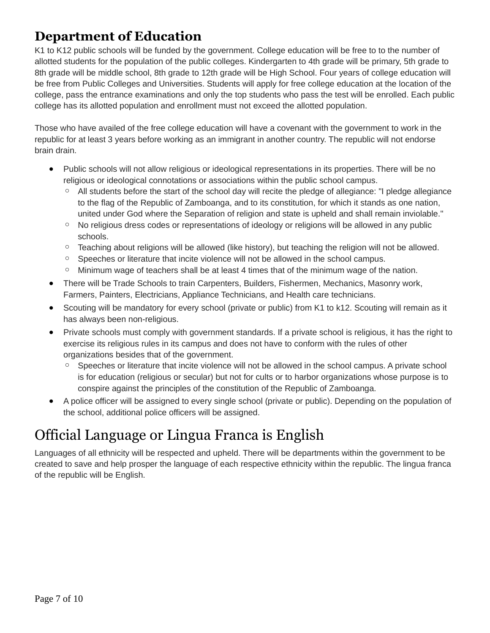#### **Department of Education**

K1 to K12 public schools will be funded by the government. College education will be free to to the number of allotted students for the population of the public colleges. Kindergarten to 4th grade will be primary, 5th grade to 8th grade will be middle school, 8th grade to 12th grade will be High School. Four years of college education will be free from Public Colleges and Universities. Students will apply for free college education at the location of the college, pass the entrance examinations and only the top students who pass the test will be enrolled. Each public college has its allotted population and enrollment must not exceed the allotted population.

Those who have availed of the free college education will have a covenant with the government to work in the republic for at least 3 years before working as an immigrant in another country. The republic will not endorse brain drain.

- Public schools will not allow religious or ideological representations in its properties. There will be no religious or ideological connotations or associations within the public school campus.
	- All students before the start of the school day will recite the pledge of allegiance: "I pledge allegiance to the flag of the Republic of Zamboanga, and to its constitution, for which it stands as one nation, united under God where the Separation of religion and state is upheld and shall remain inviolable."
	- No religious dress codes or representations of ideology orreligions will be allowed in any public schools.
	- Teaching about religions will be allowed (like history), but teaching the religion will not be allowed.
	- Speeches or literature that incite violence will not be allowed in the school campus.
	- Minimum wage of teachers shall be at least 4 times that of the minimum wage of the nation.
- There will be Trade Schools to train Carpenters, Builders, Fishermen, Mechanics, Masonry work, Farmers, Painters, Electricians, Appliance Technicians, and Health care technicians.
- Scouting will be mandatory for every school (private or public) from K1 to k12. Scouting will remain as it has always been non-religious.
- Private schools must comply with government standards. If a private school is religious, it has the right to exercise its religious rules in its campus and does not have to conform with the rules of other organizations besides that of the government.
	- Speeches or literature that incite violence will not be allowed in the school campus. A private school is for education (religious or secular) but not for cults or to harbor organizations whose purpose is to conspire against the principles of the constitution of the Republic of Zamboanga.
- A police officer will be assigned to every single school (private or public). Depending on the population of the school, additional police officers will be assigned.

# Official Language or Lingua Franca is English

Languages of all ethnicity will be respected and upheld. There will be departments within the government to be created to save and help prosper the language of each respective ethnicity within the republic. The lingua franca of the republic will be English.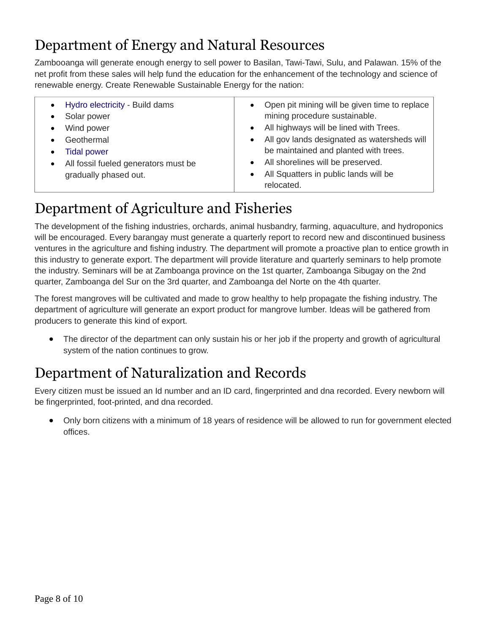#### Department of Energy and Natural Resources

Zambooanga will generate enough energy to sell power to Basilan, Tawi-Tawi, Sulu, and Palawan. 15% of the net profit from these sales will help fund the education for the enhancement of the technology and science of renewable energy. Create Renewable Sustainable Energy for the nation:

| Hydro electricity - Build dams<br>$\bullet$<br>Solar power<br>$\bullet$<br>Wind power<br>$\bullet$<br>Geothermal<br>$\bullet$<br><b>Tidal power</b><br>$\bullet$<br>All fossil fueled generators must be<br>$\bullet$<br>gradually phased out. | Open pit mining will be given time to replace<br>$\bullet$<br>mining procedure sustainable.<br>All highways will be lined with Trees.<br>$\bullet$<br>All gov lands designated as watersheds will<br>$\bullet$<br>be maintained and planted with trees.<br>• All shorelines will be preserved.<br>All Squatters in public lands will be<br>$\bullet$<br>relocated. |
|------------------------------------------------------------------------------------------------------------------------------------------------------------------------------------------------------------------------------------------------|--------------------------------------------------------------------------------------------------------------------------------------------------------------------------------------------------------------------------------------------------------------------------------------------------------------------------------------------------------------------|
|------------------------------------------------------------------------------------------------------------------------------------------------------------------------------------------------------------------------------------------------|--------------------------------------------------------------------------------------------------------------------------------------------------------------------------------------------------------------------------------------------------------------------------------------------------------------------------------------------------------------------|

### Department of Agriculture and Fisheries

The development of the fishing industries, orchards, animal husbandry, farming, aquaculture, and hydroponics will be encouraged. Every barangay must generate a quarterly report to record new and discontinued business ventures in the agriculture and fishing industry. The department will promote a proactive plan to entice growth in this industry to generate export. The department will provide literature and quarterly seminars to help promote the industry. Seminars will be at Zamboanga province on the 1st quarter, Zamboanga Sibugay on the 2nd quarter, Zamboanga del Sur on the 3rd quarter, and Zamboanga del Norte on the 4th quarter.

The forest mangroves will be cultivated and made to grow healthy to help propagate the fishing industry. The department of agriculture will generate an export product for mangrove lumber. Ideas will be gathered from producers to generate this kind of export.

• The director of the department can only sustain his or her job if the property and growth of agricultural system of the nation continues to grow.

#### Department of Naturalization and Records

Every citizen must be issued an Id number and an ID card, fingerprinted and dna recorded. Every newborn will be fingerprinted, foot-printed, and dna recorded.

 Only born citizens with a minimum of 18 years of residence will be allowed to run for government elected offices.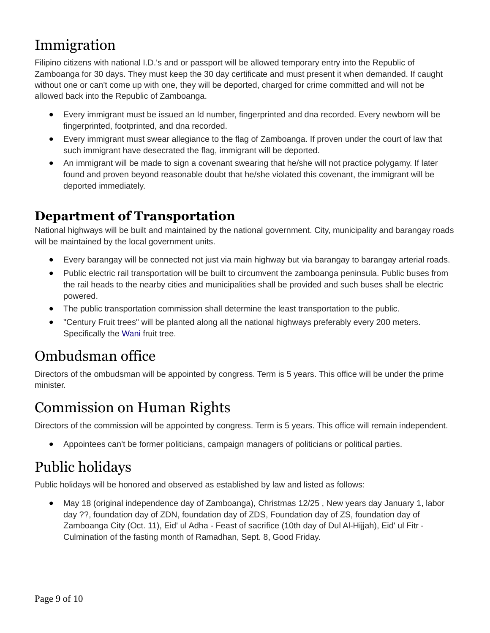#### Immigration

Filipino citizens with national I.D.'s and or passport will be allowed temporary entry into the Republic of Zamboanga for 30 days. They must keep the 30 day certificate and must present it when demanded. If caught without one or can't come up with one, they will be deported, charged for crime committed and will not be allowed back into the Republic of Zamboanga.

- Every immigrant must be issued an Id number, fingerprinted and dna recorded. Every newborn will be fingerprinted, footprinted, and dna recorded.
- Every immigrant must swear allegiance to the flag of Zamboanga. If proven under the court of law that such immigrant have desecrated the flag, immigrant will be deported.
- An immigrant will be made to sign a covenant swearing that he/she will not practice polygamy. If later found and proven beyond reasonable doubt that he/she violated this covenant, the immigrant will be deported immediately.

#### **Department of Transportation**

National highways will be built and maintained by the national government. City, municipality and barangay roads will be maintained by the local government units.

- Every barangay will be connected not just via main highway but via barangay to barangay arterial roads.
- Public electric rail transportation will be built to circumvent the zamboanga peninsula. Public buses from the rail heads to the nearby cities and municipalities shall be provided and such buses shall be electric powered.
- The public transportation commission shall determine the least transportation to the public.
- "Century Fruit trees" will be planted along all the national highways preferably every 200 meters. Specifically the Wani fruit tree.

#### Ombudsman office

Directors of the ombudsman will be appointed by congress. Term is 5 years. This office will be under the prime minister.

#### Commission on Human Rights

Directors of the commission will be appointed by congress. Term is 5 years. This office will remain independent.

Appointees can't be former politicians, campaign managers of politicians or political parties.

# Public holidays

Public holidays will be honored and observed as established by law and listed as follows:

 May 18 (original independence day of Zamboanga), Christmas 12/25 , New years day January 1, labor day ??, foundation day of ZDN, foundation day of ZDS, Foundation day of ZS, foundation day of Zamboanga City (Oct. 11), Eid' ul Adha - Feast of sacrifice (10th day of Dul Al-Hijjah), Eid' ul Fitr - Culmination of the fasting month of Ramadhan, Sept. 8, Good Friday.